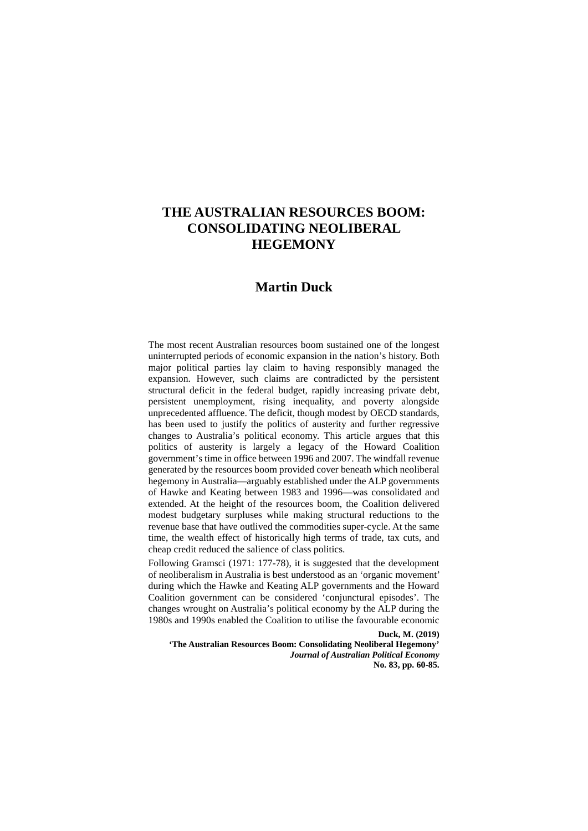# **THE AUSTRALIAN RESOURCES BOOM: CONSOLIDATING NEOLIBERAL HEGEMONY**

## **Martin Duck**

The most recent Australian resources boom sustained one of the longest uninterrupted periods of economic expansion in the nation's history. Both major political parties lay claim to having responsibly managed the expansion. However, such claims are contradicted by the persistent structural deficit in the federal budget, rapidly increasing private debt, persistent unemployment, rising inequality, and poverty alongside unprecedented affluence. The deficit, though modest by OECD standards, has been used to justify the politics of austerity and further regressive changes to Australia's political economy. This article argues that this politics of austerity is largely a legacy of the Howard Coalition government's time in office between 1996 and 2007. The windfall revenue generated by the resources boom provided cover beneath which neoliberal hegemony in Australia—arguably established under the ALP governments of Hawke and Keating between 1983 and 1996—was consolidated and extended. At the height of the resources boom, the Coalition delivered modest budgetary surpluses while making structural reductions to the revenue base that have outlived the commodities super-cycle. At the same time, the wealth effect of historically high terms of trade, tax cuts, and cheap credit reduced the salience of class politics.

Following Gramsci (1971: 177-78), it is suggested that the development of neoliberalism in Australia is best understood as an 'organic movement' during which the Hawke and Keating ALP governments and the Howard Coalition government can be considered 'conjunctural episodes'. The changes wrought on Australia's political economy by the ALP during the 1980s and 1990s enabled the Coalition to utilise the favourable economic

**Duck, M. (2019)** 

**'The Australian Resources Boom: Consolidating Neoliberal Hegemony'**  *Journal of Australian Political Economy* **No. 83, pp. 60-85.**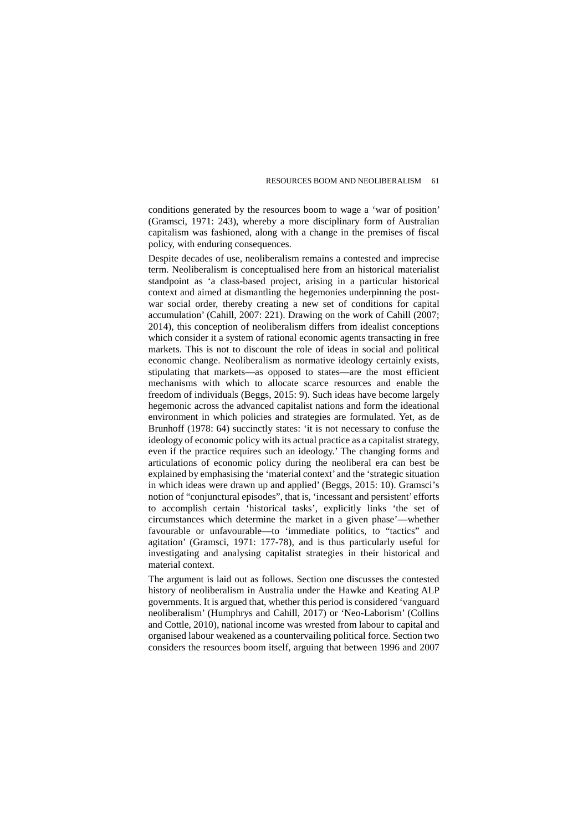conditions generated by the resources boom to wage a 'war of position' (Gramsci, 1971: 243), whereby a more disciplinary form of Australian capitalism was fashioned, along with a change in the premises of fiscal policy, with enduring consequences.

Despite decades of use, neoliberalism remains a contested and imprecise term. Neoliberalism is conceptualised here from an historical materialist standpoint as 'a class-based project, arising in a particular historical context and aimed at dismantling the hegemonies underpinning the postwar social order, thereby creating a new set of conditions for capital accumulation' (Cahill, 2007: 221). Drawing on the work of Cahill (2007; 2014), this conception of neoliberalism differs from idealist conceptions which consider it a system of rational economic agents transacting in free markets. This is not to discount the role of ideas in social and political economic change. Neoliberalism as normative ideology certainly exists, stipulating that markets—as opposed to states—are the most efficient mechanisms with which to allocate scarce resources and enable the freedom of individuals (Beggs, 2015: 9). Such ideas have become largely hegemonic across the advanced capitalist nations and form the ideational environment in which policies and strategies are formulated. Yet, as de Brunhoff (1978: 64) succinctly states: 'it is not necessary to confuse the ideology of economic policy with its actual practice as a capitalist strategy, even if the practice requires such an ideology.' The changing forms and articulations of economic policy during the neoliberal era can best be explained by emphasising the 'material context' and the 'strategic situation in which ideas were drawn up and applied' (Beggs, 2015: 10). Gramsci's notion of "conjunctural episodes", that is, 'incessant and persistent' efforts to accomplish certain 'historical tasks', explicitly links 'the set of circumstances which determine the market in a given phase'—whether favourable or unfavourable—to 'immediate politics, to "tactics" and agitation' (Gramsci, 1971: 177-78), and is thus particularly useful for investigating and analysing capitalist strategies in their historical and material context.

The argument is laid out as follows. Section one discusses the contested history of neoliberalism in Australia under the Hawke and Keating ALP governments. It is argued that, whether this period is considered 'vanguard neoliberalism' (Humphrys and Cahill, 2017) or 'Neo-Laborism' (Collins and Cottle, 2010), national income was wrested from labour to capital and organised labour weakened as a countervailing political force. Section two considers the resources boom itself, arguing that between 1996 and 2007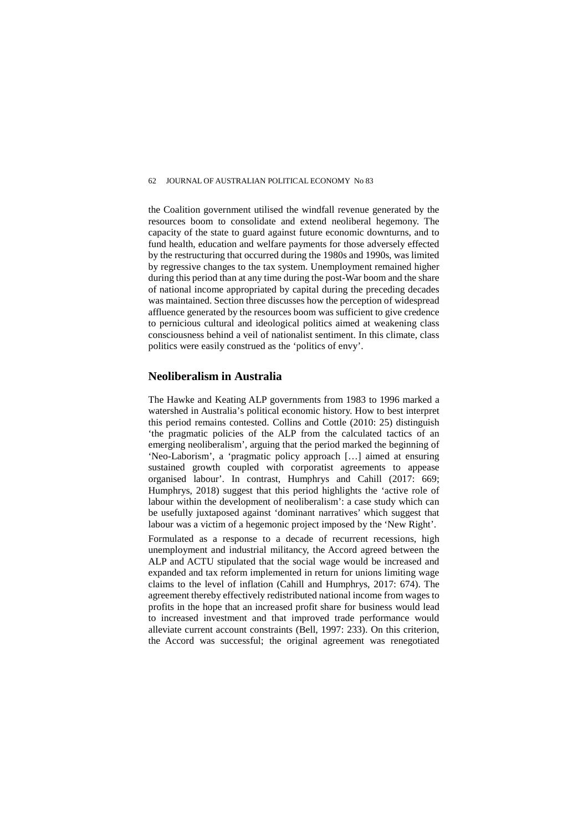the Coalition government utilised the windfall revenue generated by the resources boom to consolidate and extend neoliberal hegemony. The capacity of the state to guard against future economic downturns, and to fund health, education and welfare payments for those adversely effected by the restructuring that occurred during the 1980s and 1990s, was limited by regressive changes to the tax system. Unemployment remained higher during this period than at any time during the post-War boom and the share of national income appropriated by capital during the preceding decades was maintained. Section three discusses how the perception of widespread affluence generated by the resources boom was sufficient to give credence to pernicious cultural and ideological politics aimed at weakening class consciousness behind a veil of nationalist sentiment. In this climate, class politics were easily construed as the 'politics of envy'.

## **Neoliberalism in Australia**

The Hawke and Keating ALP governments from 1983 to 1996 marked a watershed in Australia's political economic history. How to best interpret this period remains contested. Collins and Cottle (2010: 25) distinguish 'the pragmatic policies of the ALP from the calculated tactics of an emerging neoliberalism', arguing that the period marked the beginning of 'Neo-Laborism', a 'pragmatic policy approach […] aimed at ensuring sustained growth coupled with corporatist agreements to appease organised labour'. In contrast, Humphrys and Cahill (2017: 669; Humphrys, 2018) suggest that this period highlights the 'active role of labour within the development of neoliberalism': a case study which can be usefully juxtaposed against 'dominant narratives' which suggest that labour was a victim of a hegemonic project imposed by the 'New Right'.

Formulated as a response to a decade of recurrent recessions, high unemployment and industrial militancy, the Accord agreed between the ALP and ACTU stipulated that the social wage would be increased and expanded and tax reform implemented in return for unions limiting wage claims to the level of inflation (Cahill and Humphrys, 2017: 674). The agreement thereby effectively redistributed national income from wages to profits in the hope that an increased profit share for business would lead to increased investment and that improved trade performance would alleviate current account constraints (Bell, 1997: 233). On this criterion, the Accord was successful; the original agreement was renegotiated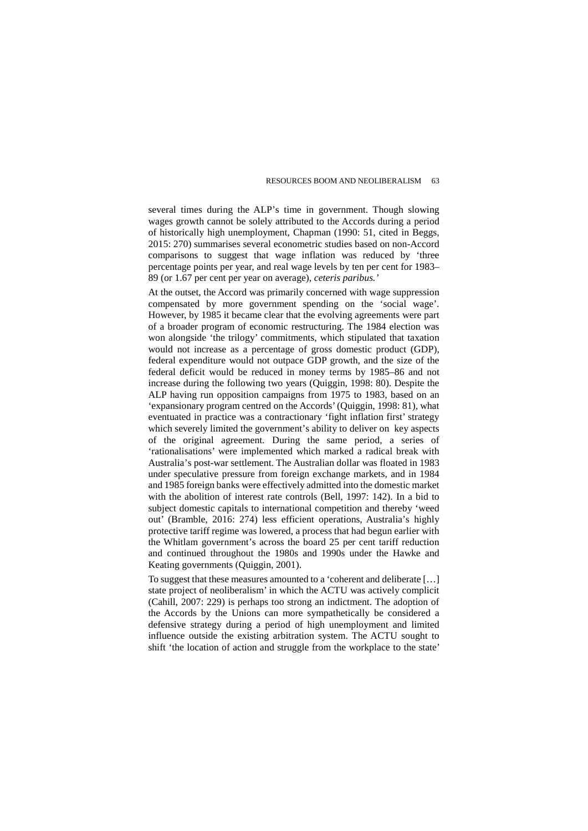several times during the ALP's time in government. Though slowing wages growth cannot be solely attributed to the Accords during a period of historically high unemployment, Chapman (1990: 51, cited in Beggs, 2015: 270) summarises several econometric studies based on non-Accord comparisons to suggest that wage inflation was reduced by 'three percentage points per year, and real wage levels by ten per cent for 1983– 89 (or 1.67 per cent per year on average), *ceteris paribus.'*

At the outset, the Accord was primarily concerned with wage suppression compensated by more government spending on the 'social wage'. However, by 1985 it became clear that the evolving agreements were part of a broader program of economic restructuring. The 1984 election was won alongside 'the trilogy' commitments, which stipulated that taxation would not increase as a percentage of gross domestic product (GDP), federal expenditure would not outpace GDP growth, and the size of the federal deficit would be reduced in money terms by 1985–86 and not increase during the following two years (Quiggin, 1998: 80). Despite the ALP having run opposition campaigns from 1975 to 1983, based on an 'expansionary program centred on the Accords' (Quiggin, 1998: 81), what eventuated in practice was a contractionary 'fight inflation first' strategy which severely limited the government's ability to deliver on key aspects of the original agreement. During the same period, a series of 'rationalisations' were implemented which marked a radical break with Australia's post-war settlement. The Australian dollar was floated in 1983 under speculative pressure from foreign exchange markets, and in 1984 and 1985 foreign banks were effectively admitted into the domestic market with the abolition of interest rate controls (Bell, 1997: 142). In a bid to subject domestic capitals to international competition and thereby 'weed out' (Bramble, 2016: 274) less efficient operations, Australia's highly protective tariff regime was lowered, a process that had begun earlier with the Whitlam government's across the board 25 per cent tariff reduction and continued throughout the 1980s and 1990s under the Hawke and Keating governments (Quiggin, 2001).

To suggest that these measures amounted to a 'coherent and deliberate […] state project of neoliberalism' in which the ACTU was actively complicit (Cahill, 2007: 229) is perhaps too strong an indictment. The adoption of the Accords by the Unions can more sympathetically be considered a defensive strategy during a period of high unemployment and limited influence outside the existing arbitration system. The ACTU sought to shift 'the location of action and struggle from the workplace to the state'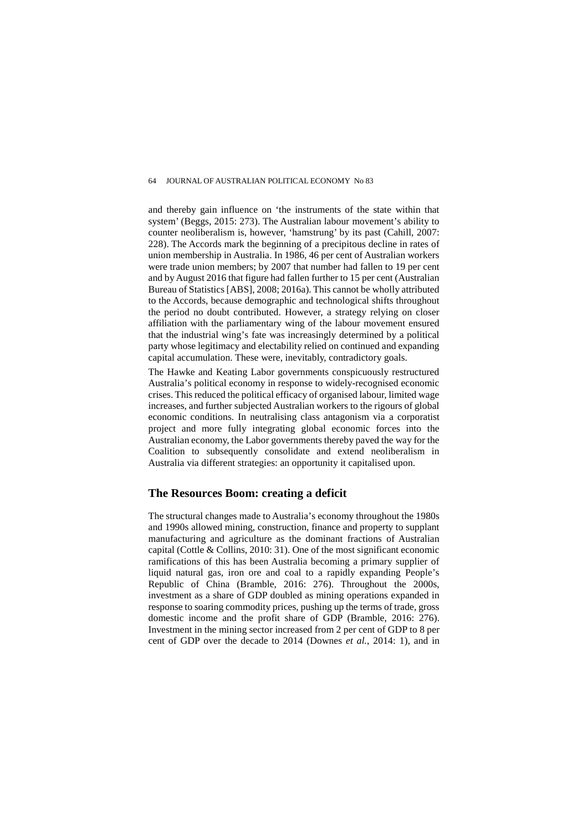and thereby gain influence on 'the instruments of the state within that system' (Beggs, 2015: 273). The Australian labour movement's ability to counter neoliberalism is, however, 'hamstrung' by its past (Cahill, 2007: 228). The Accords mark the beginning of a precipitous decline in rates of union membership in Australia. In 1986, 46 per cent of Australian workers were trade union members; by 2007 that number had fallen to 19 per cent and by August 2016 that figure had fallen further to 15 per cent (Australian Bureau of Statistics [ABS], 2008; 2016a). This cannot be wholly attributed to the Accords, because demographic and technological shifts throughout the period no doubt contributed. However, a strategy relying on closer affiliation with the parliamentary wing of the labour movement ensured that the industrial wing's fate was increasingly determined by a political party whose legitimacy and electability relied on continued and expanding capital accumulation. These were, inevitably, contradictory goals.

The Hawke and Keating Labor governments conspicuously restructured Australia's political economy in response to widely-recognised economic crises. This reduced the political efficacy of organised labour, limited wage increases, and further subjected Australian workers to the rigours of global economic conditions. In neutralising class antagonism via a corporatist project and more fully integrating global economic forces into the Australian economy, the Labor governments thereby paved the way for the Coalition to subsequently consolidate and extend neoliberalism in Australia via different strategies: an opportunity it capitalised upon.

## **The Resources Boom: creating a deficit**

The structural changes made to Australia's economy throughout the 1980s and 1990s allowed mining, construction, finance and property to supplant manufacturing and agriculture as the dominant fractions of Australian capital (Cottle & Collins, 2010: 31). One of the most significant economic ramifications of this has been Australia becoming a primary supplier of liquid natural gas, iron ore and coal to a rapidly expanding People's Republic of China (Bramble, 2016: 276). Throughout the 2000s, investment as a share of GDP doubled as mining operations expanded in response to soaring commodity prices, pushing up the terms of trade, gross domestic income and the profit share of GDP (Bramble, 2016: 276). Investment in the mining sector increased from 2 per cent of GDP to 8 per cent of GDP over the decade to 2014 (Downes *et al.*, 2014: 1), and in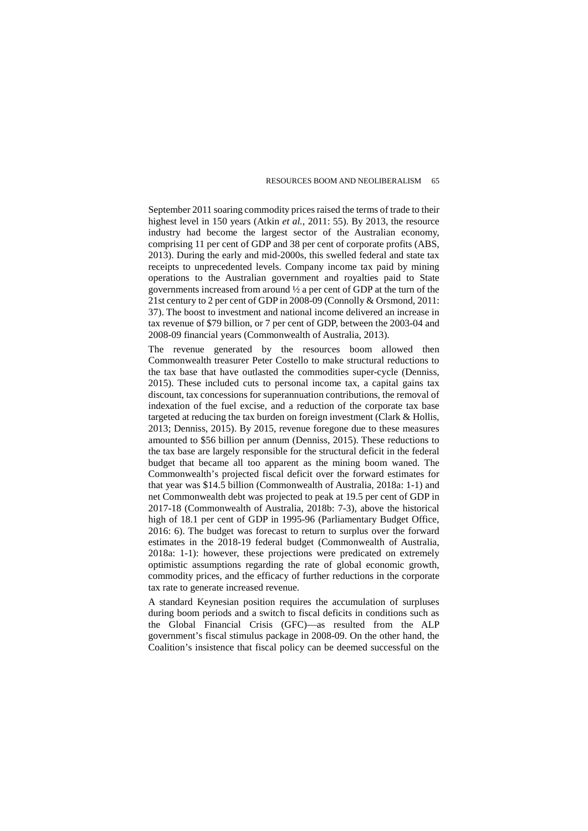September 2011 soaring commodity prices raised the terms of trade to their highest level in 150 years (Atkin *et al.*, 2011: 55). By 2013, the resource industry had become the largest sector of the Australian economy, comprising 11 per cent of GDP and 38 per cent of corporate profits (ABS, 2013). During the early and mid-2000s, this swelled federal and state tax receipts to unprecedented levels. Company income tax paid by mining operations to the Australian government and royalties paid to State governments increased from around ½ a per cent of GDP at the turn of the 21st century to 2 per cent of GDP in 2008-09 (Connolly & Orsmond, 2011: 37). The boost to investment and national income delivered an increase in tax revenue of \$79 billion, or 7 per cent of GDP, between the 2003-04 and 2008-09 financial years (Commonwealth of Australia, 2013).

The revenue generated by the resources boom allowed then Commonwealth treasurer Peter Costello to make structural reductions to the tax base that have outlasted the commodities super-cycle (Denniss, 2015). These included cuts to personal income tax, a capital gains tax discount, tax concessions for superannuation contributions, the removal of indexation of the fuel excise, and a reduction of the corporate tax base targeted at reducing the tax burden on foreign investment (Clark & Hollis, 2013; Denniss, 2015). By 2015, revenue foregone due to these measures amounted to \$56 billion per annum (Denniss, 2015). These reductions to the tax base are largely responsible for the structural deficit in the federal budget that became all too apparent as the mining boom waned. The Commonwealth's projected fiscal deficit over the forward estimates for that year was \$14.5 billion (Commonwealth of Australia, 2018a: 1-1) and net Commonwealth debt was projected to peak at 19.5 per cent of GDP in 2017-18 (Commonwealth of Australia, 2018b: 7-3), above the historical high of 18.1 per cent of GDP in 1995-96 (Parliamentary Budget Office, 2016: 6). The budget was forecast to return to surplus over the forward estimates in the 2018-19 federal budget (Commonwealth of Australia, 2018a: 1-1): however, these projections were predicated on extremely optimistic assumptions regarding the rate of global economic growth, commodity prices, and the efficacy of further reductions in the corporate tax rate to generate increased revenue.

A standard Keynesian position requires the accumulation of surpluses during boom periods and a switch to fiscal deficits in conditions such as the Global Financial Crisis (GFC)—as resulted from the ALP government's fiscal stimulus package in 2008-09. On the other hand, the Coalition's insistence that fiscal policy can be deemed successful on the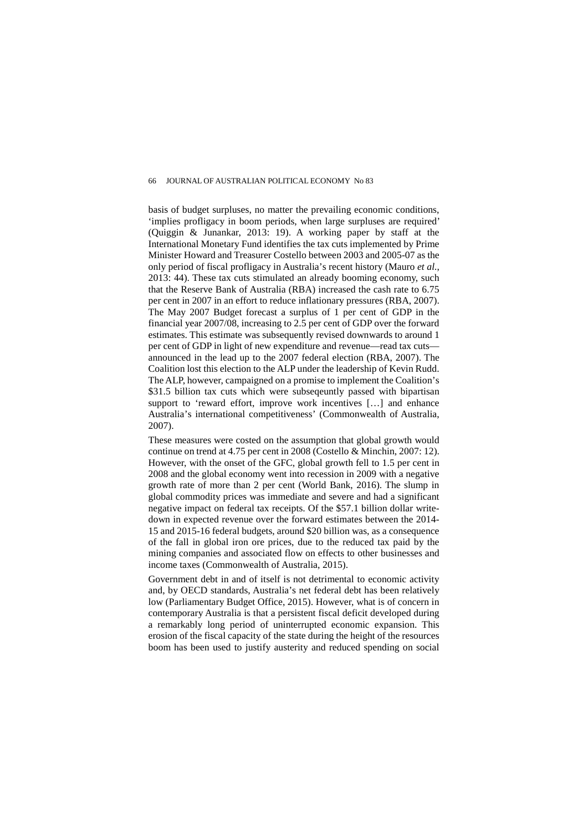basis of budget surpluses, no matter the prevailing economic conditions, 'implies profligacy in boom periods, when large surpluses are required' (Quiggin & Junankar, 2013: 19). A working paper by staff at the International Monetary Fund identifies the tax cuts implemented by Prime Minister Howard and Treasurer Costello between 2003 and 2005-07 as the only period of fiscal profligacy in Australia's recent history (Mauro *et al.*, 2013: 44). These tax cuts stimulated an already booming economy, such that the Reserve Bank of Australia (RBA) increased the cash rate to 6.75 per cent in 2007 in an effort to reduce inflationary pressures (RBA, 2007). The May 2007 Budget forecast a surplus of 1 per cent of GDP in the financial year 2007/08, increasing to 2.5 per cent of GDP over the forward estimates. This estimate was subsequently revised downwards to around 1 per cent of GDP in light of new expenditure and revenue—read tax cuts announced in the lead up to the 2007 federal election (RBA, 2007). The Coalition lost this election to the ALP under the leadership of Kevin Rudd. The ALP, however, campaigned on a promise to implement the Coalition's \$31.5 billion tax cuts which were subseqeuntly passed with bipartisan support to 'reward effort, improve work incentives [...] and enhance Australia's international competitiveness' (Commonwealth of Australia, 2007).

These measures were costed on the assumption that global growth would continue on trend at 4.75 per cent in 2008 (Costello & Minchin, 2007: 12). However, with the onset of the GFC, global growth fell to 1.5 per cent in 2008 and the global economy went into recession in 2009 with a negative growth rate of more than 2 per cent (World Bank, 2016). The slump in global commodity prices was immediate and severe and had a significant negative impact on federal tax receipts. Of the \$57.1 billion dollar writedown in expected revenue over the forward estimates between the 2014- 15 and 2015-16 federal budgets, around \$20 billion was, as a consequence of the fall in global iron ore prices, due to the reduced tax paid by the mining companies and associated flow on effects to other businesses and income taxes (Commonwealth of Australia, 2015).

Government debt in and of itself is not detrimental to economic activity and, by OECD standards, Australia's net federal debt has been relatively low (Parliamentary Budget Office, 2015). However, what is of concern in contemporary Australia is that a persistent fiscal deficit developed during a remarkably long period of uninterrupted economic expansion. This erosion of the fiscal capacity of the state during the height of the resources boom has been used to justify austerity and reduced spending on social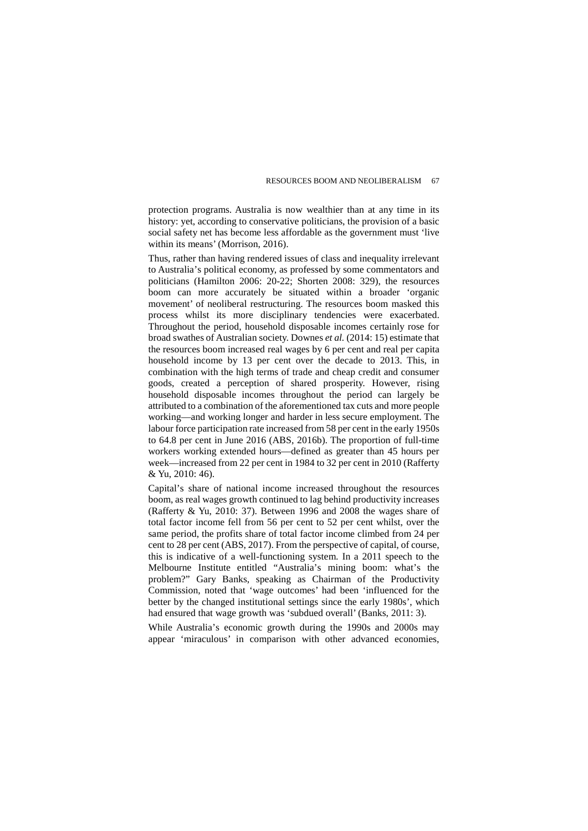protection programs. Australia is now wealthier than at any time in its history: yet, according to conservative politicians, the provision of a basic social safety net has become less affordable as the government must 'live within its means' (Morrison, 2016).

Thus, rather than having rendered issues of class and inequality irrelevant to Australia's political economy, as professed by some commentators and politicians (Hamilton 2006: 20-22; Shorten 2008: 329), the resources boom can more accurately be situated within a broader 'organic movement' of neoliberal restructuring. The resources boom masked this process whilst its more disciplinary tendencies were exacerbated. Throughout the period, household disposable incomes certainly rose for broad swathes of Australian society. Downes *et al.* (2014: 15) estimate that the resources boom increased real wages by 6 per cent and real per capita household income by 13 per cent over the decade to 2013. This, in combination with the high terms of trade and cheap credit and consumer goods, created a perception of shared prosperity. However, rising household disposable incomes throughout the period can largely be attributed to a combination of the aforementioned tax cuts and more people working—and working longer and harder in less secure employment. The labour force participation rate increased from 58 per cent in the early 1950s to 64.8 per cent in June 2016 (ABS, 2016b). The proportion of full-time workers working extended hours—defined as greater than 45 hours per week—increased from 22 per cent in 1984 to 32 per cent in 2010 (Rafferty & Yu, 2010: 46).

Capital's share of national income increased throughout the resources boom, as real wages growth continued to lag behind productivity increases (Rafferty & Yu, 2010: 37). Between 1996 and 2008 the wages share of total factor income fell from 56 per cent to 52 per cent whilst, over the same period, the profits share of total factor income climbed from 24 per cent to 28 per cent (ABS, 2017). From the perspective of capital, of course, this is indicative of a well-functioning system. In a 2011 speech to the Melbourne Institute entitled "Australia's mining boom: what's the problem?" Gary Banks, speaking as Chairman of the Productivity Commission, noted that 'wage outcomes' had been 'influenced for the better by the changed institutional settings since the early 1980s', which had ensured that wage growth was 'subdued overall' (Banks, 2011: 3).

While Australia's economic growth during the 1990s and 2000s may appear 'miraculous' in comparison with other advanced economies,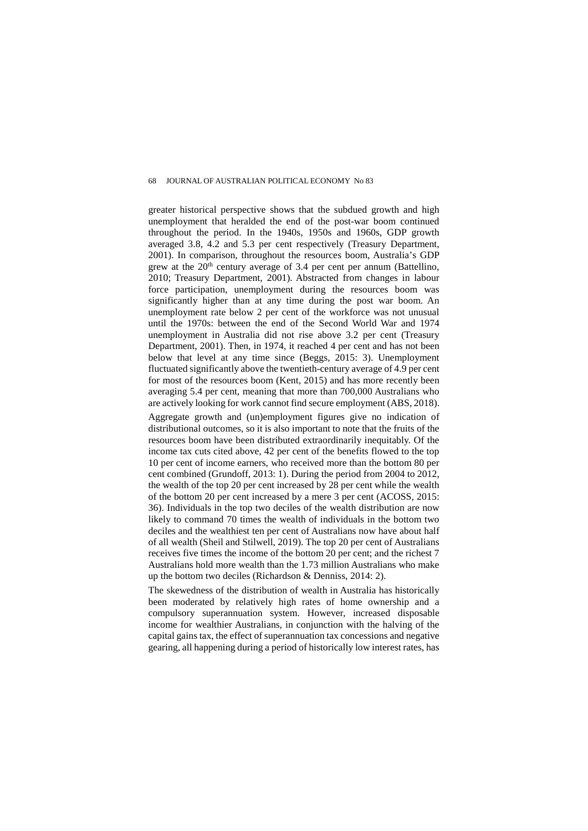greater historical perspective shows that the subdued growth and high unemployment that heralded the end of the post-war boom continued throughout the period. In the 1940s, 1950s and 1960s, GDP growth averaged 3.8, 4.2 and 5.3 per cent respectively (Treasury Department, 2001). In comparison, throughout the resources boom, Australia's GDP grew at the  $20<sup>th</sup>$  century average of 3.4 per cent per annum (Battellino, 2010; Treasury Department, 2001). Abstracted from changes in labour force participation, unemployment during the resources boom was significantly higher than at any time during the post war boom. An unemployment rate below 2 per cent of the workforce was not unusual until the 1970s: between the end of the Second World War and 1974 unemployment in Australia did not rise above 3.2 per cent (Treasury Department, 2001). Then, in 1974, it reached 4 per cent and has not been below that level at any time since (Beggs, 2015: 3). Unemployment fluctuated significantly above the twentieth-century average of 4.9 per cent for most of the resources boom (Kent, 2015) and has more recently been averaging 5.4 per cent, meaning that more than 700,000 Australians who are actively looking for work cannot find secure employment (ABS, 2018).

Aggregate growth and (un)employment figures give no indication of distributional outcomes, so it is also important to note that the fruits of the resources boom have been distributed extraordinarily inequitably. Of the income tax cuts cited above, 42 per cent of the benefits flowed to the top 10 per cent of income earners, who received more than the bottom 80 per cent combined (Grundoff, 2013: 1). During the period from 2004 to 2012, the wealth of the top 20 per cent increased by 28 per cent while the wealth of the bottom 20 per cent increased by a mere 3 per cent (ACOSS, 2015: 36). Individuals in the top two deciles of the wealth distribution are now likely to command 70 times the wealth of individuals in the bottom two deciles and the wealthiest ten per cent of Australians now have about half of all wealth (Sheil and Stilwell, 2019). The top 20 per cent of Australians receives five times the income of the bottom 20 per cent; and the richest 7 Australians hold more wealth than the 1.73 million Australians who make up the bottom two deciles (Richardson & Denniss, 2014: 2).

The skewedness of the distribution of wealth in Australia has historically been moderated by relatively high rates of home ownership and a compulsory superannuation system. However, increased disposable income for wealthier Australians, in conjunction with the halving of the capital gains tax, the effect of superannuation tax concessions and negative gearing, all happening during a period of historically low interest rates, has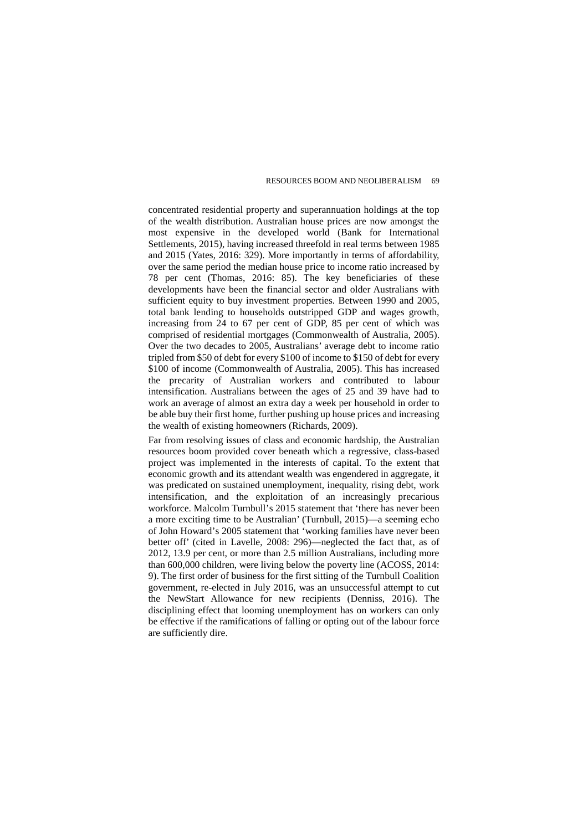concentrated residential property and superannuation holdings at the top of the wealth distribution. Australian house prices are now amongst the most expensive in the developed world (Bank for International Settlements, 2015), having increased threefold in real terms between 1985 and 2015 (Yates, 2016: 329). More importantly in terms of affordability, over the same period the median house price to income ratio increased by 78 per cent (Thomas, 2016: 85). The key beneficiaries of these developments have been the financial sector and older Australians with sufficient equity to buy investment properties. Between 1990 and 2005, total bank lending to households outstripped GDP and wages growth, increasing from 24 to 67 per cent of GDP, 85 per cent of which was comprised of residential mortgages (Commonwealth of Australia, 2005). Over the two decades to 2005, Australians' average debt to income ratio tripled from \$50 of debt for every \$100 of income to \$150 of debt for every \$100 of income (Commonwealth of Australia, 2005). This has increased the precarity of Australian workers and contributed to labour intensification. Australians between the ages of 25 and 39 have had to work an average of almost an extra day a week per household in order to be able buy their first home, further pushing up house prices and increasing the wealth of existing homeowners (Richards, 2009).

Far from resolving issues of class and economic hardship, the Australian resources boom provided cover beneath which a regressive, class-based project was implemented in the interests of capital. To the extent that economic growth and its attendant wealth was engendered in aggregate, it was predicated on sustained unemployment, inequality, rising debt, work intensification, and the exploitation of an increasingly precarious workforce. Malcolm Turnbull's 2015 statement that 'there has never been a more exciting time to be Australian' (Turnbull, 2015)—a seeming echo of John Howard's 2005 statement that 'working families have never been better off' (cited in Lavelle, 2008: 296)—neglected the fact that, as of 2012, 13.9 per cent, or more than 2.5 million Australians, including more than 600,000 children, were living below the poverty line (ACOSS, 2014: 9). The first order of business for the first sitting of the Turnbull Coalition government, re-elected in July 2016, was an unsuccessful attempt to cut the NewStart Allowance for new recipients (Denniss, 2016). The disciplining effect that looming unemployment has on workers can only be effective if the ramifications of falling or opting out of the labour force are sufficiently dire.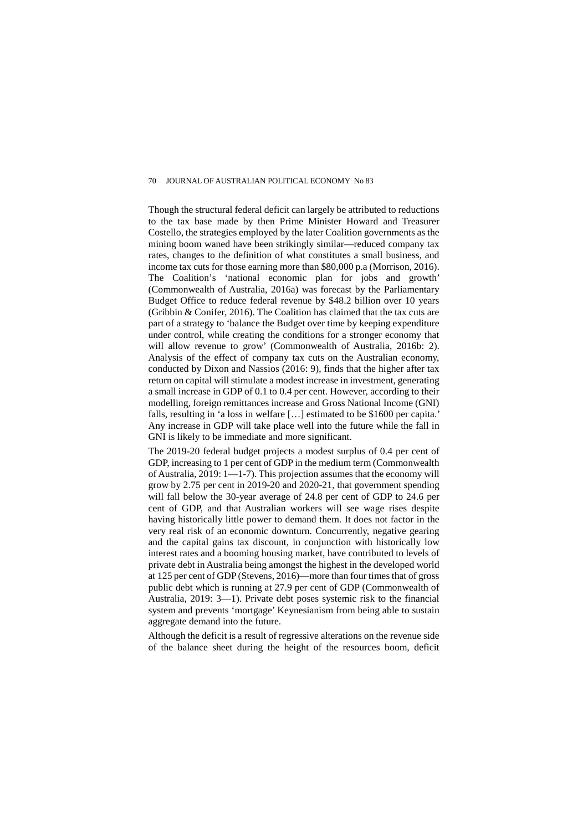Though the structural federal deficit can largely be attributed to reductions to the tax base made by then Prime Minister Howard and Treasurer Costello, the strategies employed by the later Coalition governments as the mining boom waned have been strikingly similar—reduced company tax rates, changes to the definition of what constitutes a small business, and income tax cuts for those earning more than \$80,000 p.a (Morrison, 2016). The Coalition's 'national economic plan for jobs and growth' (Commonwealth of Australia, 2016a) was forecast by the Parliamentary Budget Office to reduce federal revenue by \$48.2 billion over 10 years (Gribbin & Conifer, 2016). The Coalition has claimed that the tax cuts are part of a strategy to 'balance the Budget over time by keeping expenditure under control, while creating the conditions for a stronger economy that will allow revenue to grow' (Commonwealth of Australia, 2016b: 2). Analysis of the effect of company tax cuts on the Australian economy, conducted by Dixon and Nassios (2016: 9), finds that the higher after tax return on capital will stimulate a modest increase in investment, generating a small increase in GDP of 0.1 to 0.4 per cent. However, according to their modelling, foreign remittances increase and Gross National Income (GNI) falls, resulting in 'a loss in welfare […] estimated to be \$1600 per capita.' Any increase in GDP will take place well into the future while the fall in GNI is likely to be immediate and more significant.

The 2019-20 federal budget projects a modest surplus of 0.4 per cent of GDP, increasing to 1 per cent of GDP in the medium term (Commonwealth of Australia, 2019: 1—1-7). This projection assumes that the economy will grow by 2.75 per cent in 2019-20 and 2020-21, that government spending will fall below the 30-year average of 24.8 per cent of GDP to 24.6 per cent of GDP, and that Australian workers will see wage rises despite having historically little power to demand them. It does not factor in the very real risk of an economic downturn. Concurrently, negative gearing and the capital gains tax discount, in conjunction with historically low interest rates and a booming housing market, have contributed to levels of private debt in Australia being amongst the highest in the developed world at 125 per cent of GDP (Stevens, 2016)—more than four times that of gross public debt which is running at 27.9 per cent of GDP (Commonwealth of Australia, 2019: 3—1). Private debt poses systemic risk to the financial system and prevents 'mortgage' Keynesianism from being able to sustain aggregate demand into the future.

Although the deficit is a result of regressive alterations on the revenue side of the balance sheet during the height of the resources boom, deficit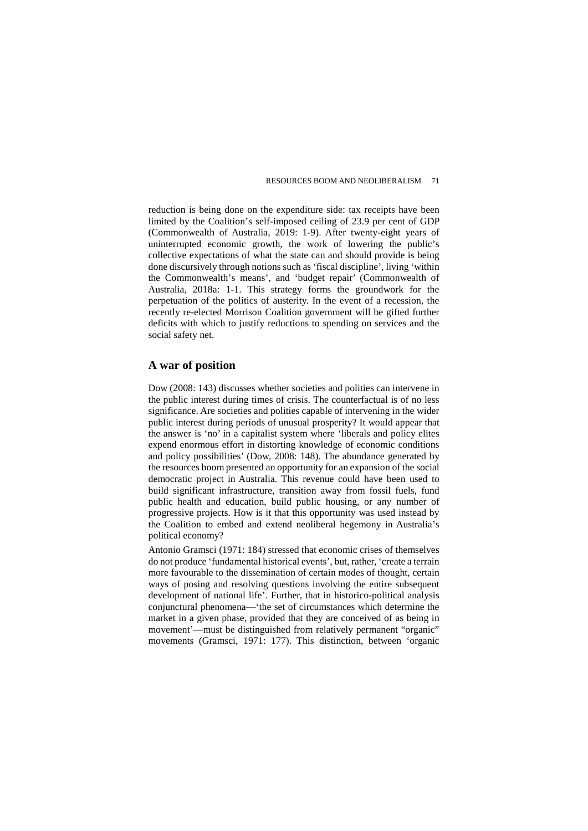reduction is being done on the expenditure side: tax receipts have been limited by the Coalition's self-imposed ceiling of 23.9 per cent of GDP (Commonwealth of Australia, 2019: 1-9). After twenty-eight years of uninterrupted economic growth, the work of lowering the public's collective expectations of what the state can and should provide is being done discursively through notions such as 'fiscal discipline', living 'within the Commonwealth's means', and 'budget repair' (Commonwealth of Australia, 2018a: 1-1. This strategy forms the groundwork for the perpetuation of the politics of austerity. In the event of a recession, the recently re-elected Morrison Coalition government will be gifted further deficits with which to justify reductions to spending on services and the social safety net.

## **A war of position**

Dow (2008: 143) discusses whether societies and polities can intervene in the public interest during times of crisis. The counterfactual is of no less significance. Are societies and polities capable of intervening in the wider public interest during periods of unusual prosperity? It would appear that the answer is 'no' in a capitalist system where 'liberals and policy elites expend enormous effort in distorting knowledge of economic conditions and policy possibilities' (Dow, 2008: 148). The abundance generated by the resources boom presented an opportunity for an expansion of the social democratic project in Australia. This revenue could have been used to build significant infrastructure, transition away from fossil fuels, fund public health and education, build public housing, or any number of progressive projects. How is it that this opportunity was used instead by the Coalition to embed and extend neoliberal hegemony in Australia's political economy?

Antonio Gramsci (1971: 184) stressed that economic crises of themselves do not produce 'fundamental historical events', but, rather, 'create a terrain more favourable to the dissemination of certain modes of thought, certain ways of posing and resolving questions involving the entire subsequent development of national life'. Further, that in historico-political analysis conjunctural phenomena—'the set of circumstances which determine the market in a given phase, provided that they are conceived of as being in movement'—must be distinguished from relatively permanent "organic" movements (Gramsci, 1971: 177). This distinction, between 'organic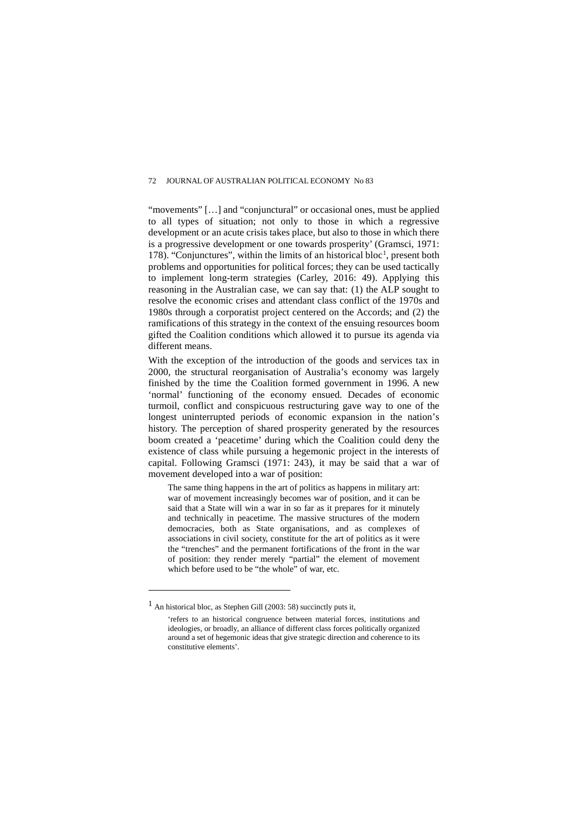"movements" [...] and "conjunctural" or occasional ones, must be applied to all types of situation; not only to those in which a regressive development or an acute crisis takes place, but also to those in which there is a progressive development or one towards prosperity' (Gramsci, 1971: [1](#page-12-0)78). "Conjunctures", within the limits of an historical bloc<sup>1</sup>, present both problems and opportunities for political forces; they can be used tactically to implement long-term strategies (Carley, 2016: 49). Applying this reasoning in the Australian case, we can say that: (1) the ALP sought to resolve the economic crises and attendant class conflict of the 1970s and 1980s through a corporatist project centered on the Accords; and (2) the ramifications of this strategy in the context of the ensuing resources boom gifted the Coalition conditions which allowed it to pursue its agenda via different means.

With the exception of the introduction of the goods and services tax in 2000, the structural reorganisation of Australia's economy was largely finished by the time the Coalition formed government in 1996. A new 'normal' functioning of the economy ensued. Decades of economic turmoil, conflict and conspicuous restructuring gave way to one of the longest uninterrupted periods of economic expansion in the nation's history. The perception of shared prosperity generated by the resources boom created a 'peacetime' during which the Coalition could deny the existence of class while pursuing a hegemonic project in the interests of capital. Following Gramsci (1971: 243), it may be said that a war of movement developed into a war of position:

The same thing happens in the art of politics as happens in military art: war of movement increasingly becomes war of position, and it can be said that a State will win a war in so far as it prepares for it minutely and technically in peacetime. The massive structures of the modern democracies, both as State organisations, and as complexes of associations in civil society, constitute for the art of politics as it were the "trenches" and the permanent fortifications of the front in the war of position: they render merely "partial" the element of movement which before used to be "the whole" of war, etc.

 $\overline{a}$ 

<span id="page-12-0"></span> $1$  An historical bloc, as Stephen Gill (2003: 58) succinctly puts it,

<sup>&#</sup>x27;refers to an historical congruence between material forces, institutions and ideologies, or broadly, an alliance of different class forces politically organized around a set of hegemonic ideas that give strategic direction and coherence to its constitutive elements'.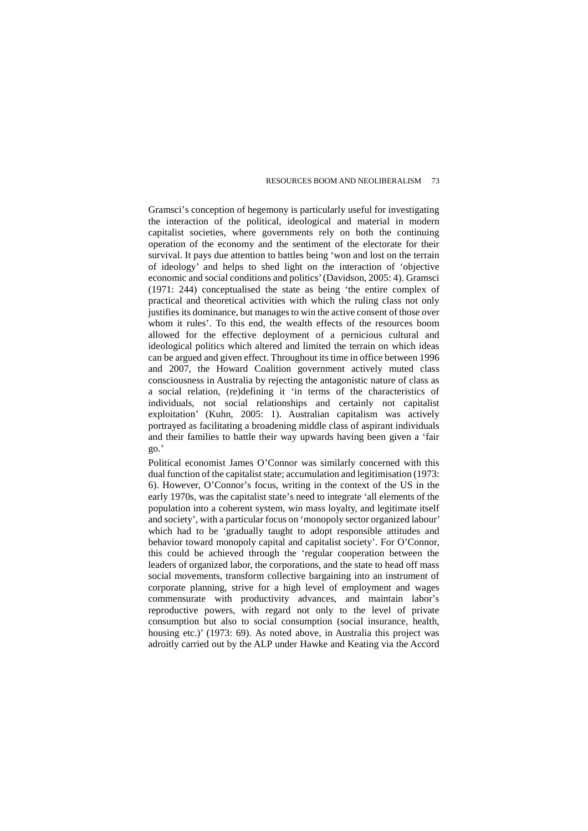Gramsci's conception of hegemony is particularly useful for investigating the interaction of the political, ideological and material in modern capitalist societies, where governments rely on both the continuing operation of the economy and the sentiment of the electorate for their survival. It pays due attention to battles being 'won and lost on the terrain of ideology' and helps to shed light on the interaction of 'objective economic and social conditions and politics' (Davidson, 2005: 4). Gramsci (1971: 244) conceptualised the state as being 'the entire complex of practical and theoretical activities with which the ruling class not only justifies its dominance, but manages to win the active consent of those over whom it rules'. To this end, the wealth effects of the resources boom allowed for the effective deployment of a pernicious cultural and ideological politics which altered and limited the terrain on which ideas can be argued and given effect. Throughout its time in office between 1996 and 2007, the Howard Coalition government actively muted class consciousness in Australia by rejecting the antagonistic nature of class as a social relation, (re)defining it 'in terms of the characteristics of individuals, not social relationships and certainly not capitalist exploitation' (Kuhn, 2005: 1). Australian capitalism was actively portrayed as facilitating a broadening middle class of aspirant individuals and their families to battle their way upwards having been given a 'fair go.'

Political economist James O'Connor was similarly concerned with this dual function of the capitalist state; accumulation and legitimisation (1973: 6). However, O'Connor's focus, writing in the context of the US in the early 1970s, was the capitalist state's need to integrate 'all elements of the population into a coherent system, win mass loyalty, and legitimate itself and society', with a particular focus on 'monopoly sector organized labour' which had to be 'gradually taught to adopt responsible attitudes and behavior toward monopoly capital and capitalist society'. For O'Connor, this could be achieved through the 'regular cooperation between the leaders of organized labor, the corporations, and the state to head off mass social movements, transform collective bargaining into an instrument of corporate planning, strive for a high level of employment and wages commensurate with productivity advances, and maintain labor's reproductive powers, with regard not only to the level of private consumption but also to social consumption (social insurance, health, housing etc.)' (1973: 69). As noted above, in Australia this project was adroitly carried out by the ALP under Hawke and Keating via the Accord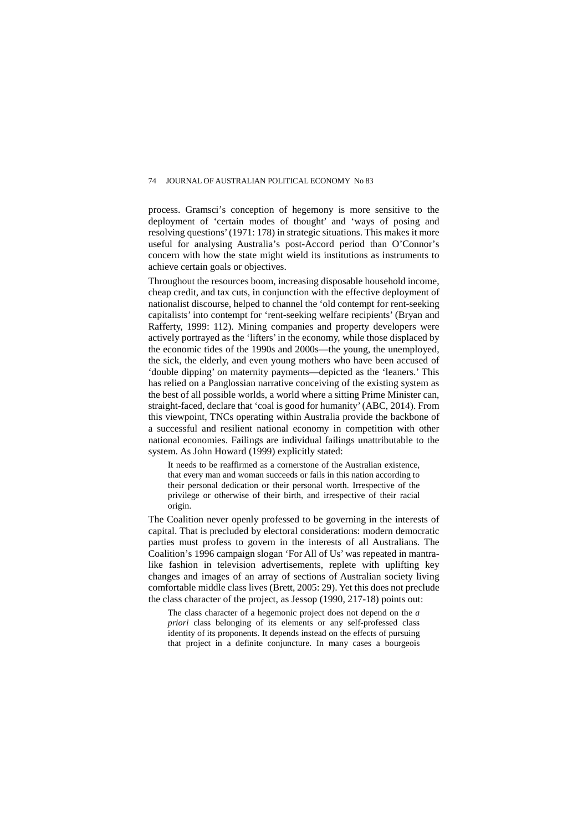process. Gramsci's conception of hegemony is more sensitive to the deployment of 'certain modes of thought' and 'ways of posing and resolving questions' (1971: 178) in strategic situations. This makes it more useful for analysing Australia's post-Accord period than O'Connor's concern with how the state might wield its institutions as instruments to achieve certain goals or objectives.

Throughout the resources boom, increasing disposable household income, cheap credit, and tax cuts, in conjunction with the effective deployment of nationalist discourse, helped to channel the 'old contempt for rent-seeking capitalists' into contempt for 'rent-seeking welfare recipients' (Bryan and Rafferty, 1999: 112). Mining companies and property developers were actively portrayed as the 'lifters' in the economy, while those displaced by the economic tides of the 1990s and 2000s—the young, the unemployed, the sick, the elderly, and even young mothers who have been accused of 'double dipping' on maternity payments—depicted as the 'leaners.' This has relied on a Panglossian narrative conceiving of the existing system as the best of all possible worlds, a world where a sitting Prime Minister can, straight-faced, declare that 'coal is good for humanity' (ABC, 2014). From this viewpoint, TNCs operating within Australia provide the backbone of a successful and resilient national economy in competition with other national economies. Failings are individual failings unattributable to the system. As John Howard (1999) explicitly stated:

It needs to be reaffirmed as a cornerstone of the Australian existence, that every man and woman succeeds or fails in this nation according to their personal dedication or their personal worth. Irrespective of the privilege or otherwise of their birth, and irrespective of their racial origin.

The Coalition never openly professed to be governing in the interests of capital. That is precluded by electoral considerations: modern democratic parties must profess to govern in the interests of all Australians. The Coalition's 1996 campaign slogan 'For All of Us' was repeated in mantralike fashion in television advertisements, replete with uplifting key changes and images of an array of sections of Australian society living comfortable middle class lives (Brett, 2005: 29). Yet this does not preclude the class character of the project, as Jessop (1990, 217-18) points out:

The class character of a hegemonic project does not depend on the *a priori* class belonging of its elements or any self-professed class identity of its proponents. It depends instead on the effects of pursuing that project in a definite conjuncture. In many cases a bourgeois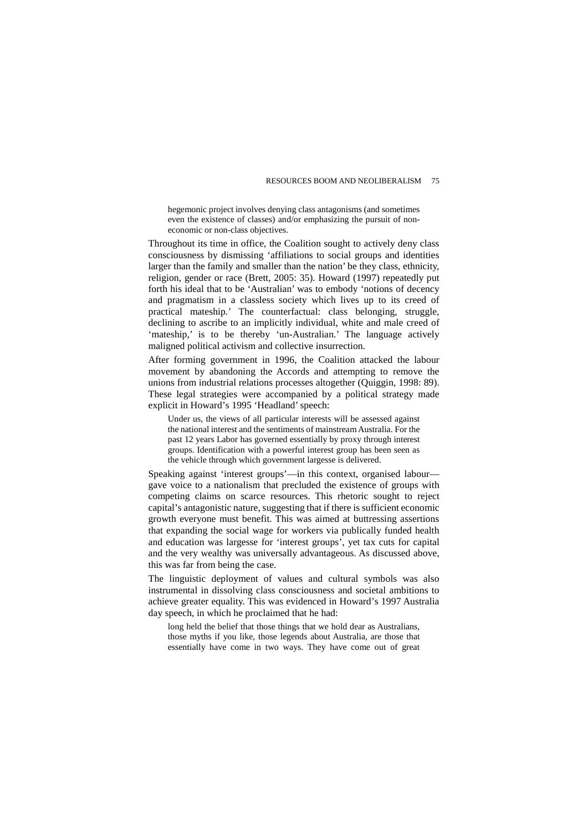hegemonic project involves denying class antagonisms (and sometimes even the existence of classes) and/or emphasizing the pursuit of noneconomic or non-class objectives.

Throughout its time in office, the Coalition sought to actively deny class consciousness by dismissing 'affiliations to social groups and identities larger than the family and smaller than the nation' be they class, ethnicity, religion, gender or race (Brett, 2005: 35). Howard (1997) repeatedly put forth his ideal that to be 'Australian' was to embody 'notions of decency and pragmatism in a classless society which lives up to its creed of practical mateship.' The counterfactual: class belonging, struggle, declining to ascribe to an implicitly individual, white and male creed of 'mateship,' is to be thereby 'un-Australian.' The language actively maligned political activism and collective insurrection.

After forming government in 1996, the Coalition attacked the labour movement by abandoning the Accords and attempting to remove the unions from industrial relations processes altogether (Quiggin, 1998: 89). These legal strategies were accompanied by a political strategy made explicit in Howard's 1995 'Headland' speech:

Under us, the views of all particular interests will be assessed against the national interest and the sentiments of mainstream Australia. For the past 12 years Labor has governed essentially by proxy through interest groups. Identification with a powerful interest group has been seen as the vehicle through which government largesse is delivered.

Speaking against 'interest groups'—in this context, organised labour gave voice to a nationalism that precluded the existence of groups with competing claims on scarce resources. This rhetoric sought to reject capital's antagonistic nature, suggesting that if there is sufficient economic growth everyone must benefit. This was aimed at buttressing assertions that expanding the social wage for workers via publically funded health and education was largesse for 'interest groups', yet tax cuts for capital and the very wealthy was universally advantageous. As discussed above, this was far from being the case.

The linguistic deployment of values and cultural symbols was also instrumental in dissolving class consciousness and societal ambitions to achieve greater equality. This was evidenced in Howard's 1997 Australia day speech, in which he proclaimed that he had:

long held the belief that those things that we hold dear as Australians, those myths if you like, those legends about Australia, are those that essentially have come in two ways. They have come out of great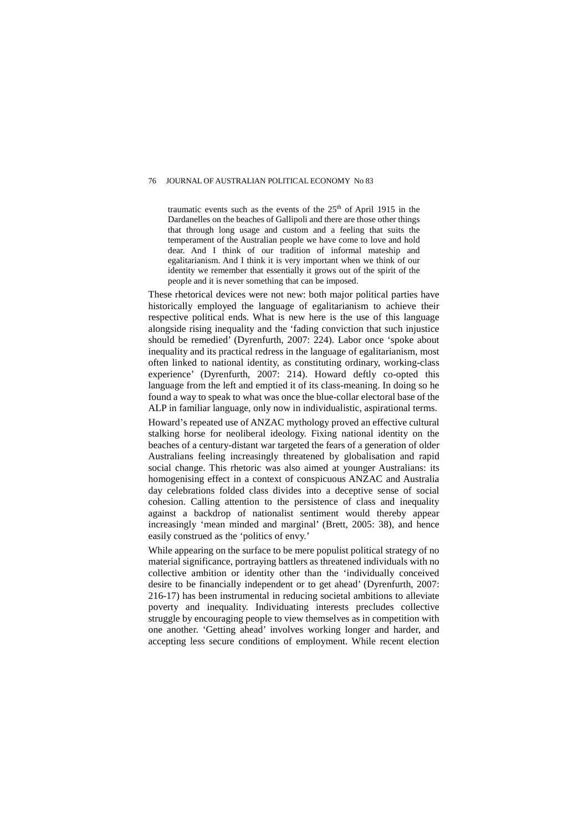traumatic events such as the events of the 25<sup>th</sup> of April 1915 in the Dardanelles on the beaches of Gallipoli and there are those other things that through long usage and custom and a feeling that suits the temperament of the Australian people we have come to love and hold dear. And I think of our tradition of informal mateship and egalitarianism. And I think it is very important when we think of our identity we remember that essentially it grows out of the spirit of the people and it is never something that can be imposed.

These rhetorical devices were not new: both major political parties have historically employed the language of egalitarianism to achieve their respective political ends. What is new here is the use of this language alongside rising inequality and the 'fading conviction that such injustice should be remedied' (Dyrenfurth, 2007: 224). Labor once 'spoke about inequality and its practical redress in the language of egalitarianism, most often linked to national identity, as constituting ordinary, working-class experience' (Dyrenfurth, 2007: 214). Howard deftly co-opted this language from the left and emptied it of its class-meaning. In doing so he found a way to speak to what was once the blue-collar electoral base of the ALP in familiar language, only now in individualistic, aspirational terms.

Howard's repeated use of ANZAC mythology proved an effective cultural stalking horse for neoliberal ideology. Fixing national identity on the beaches of a century-distant war targeted the fears of a generation of older Australians feeling increasingly threatened by globalisation and rapid social change. This rhetoric was also aimed at younger Australians: its homogenising effect in a context of conspicuous ANZAC and Australia day celebrations folded class divides into a deceptive sense of social cohesion. Calling attention to the persistence of class and inequality against a backdrop of nationalist sentiment would thereby appear increasingly 'mean minded and marginal' (Brett, 2005: 38), and hence easily construed as the 'politics of envy.'

While appearing on the surface to be mere populist political strategy of no material significance, portraying battlers as threatened individuals with no collective ambition or identity other than the 'individually conceived desire to be financially independent or to get ahead' (Dyrenfurth, 2007: 216-17) has been instrumental in reducing societal ambitions to alleviate poverty and inequality. Individuating interests precludes collective struggle by encouraging people to view themselves as in competition with one another. 'Getting ahead' involves working longer and harder, and accepting less secure conditions of employment. While recent election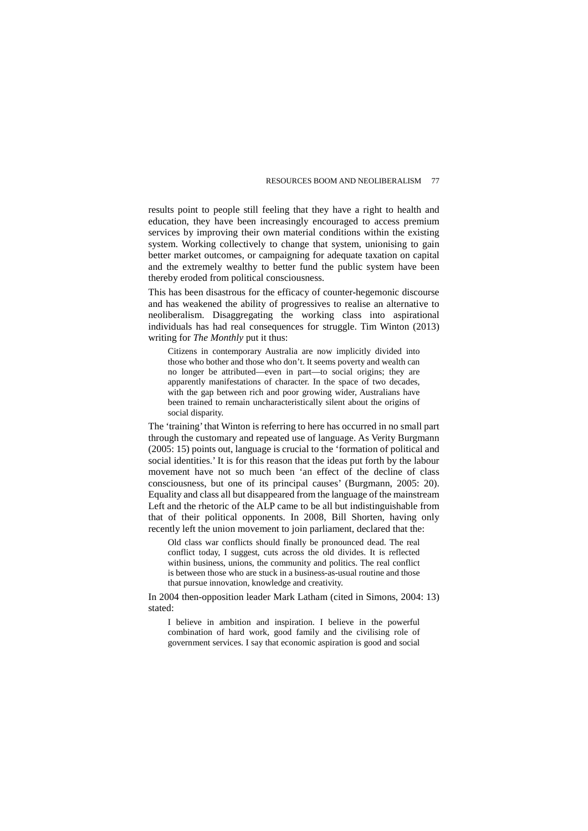results point to people still feeling that they have a right to health and education, they have been increasingly encouraged to access premium services by improving their own material conditions within the existing system. Working collectively to change that system, unionising to gain better market outcomes, or campaigning for adequate taxation on capital and the extremely wealthy to better fund the public system have been thereby eroded from political consciousness.

This has been disastrous for the efficacy of counter-hegemonic discourse and has weakened the ability of progressives to realise an alternative to neoliberalism. Disaggregating the working class into aspirational individuals has had real consequences for struggle. Tim Winton (2013) writing for *The Monthly* put it thus:

Citizens in contemporary Australia are now implicitly divided into those who bother and those who don't. It seems poverty and wealth can no longer be attributed—even in part—to social origins; they are apparently manifestations of character. In the space of two decades, with the gap between rich and poor growing wider, Australians have been trained to remain uncharacteristically silent about the origins of social disparity.

The 'training' that Winton is referring to here has occurred in no small part through the customary and repeated use of language. As Verity Burgmann (2005: 15) points out, language is crucial to the 'formation of political and social identities.' It is for this reason that the ideas put forth by the labour movement have not so much been 'an effect of the decline of class consciousness, but one of its principal causes' (Burgmann, 2005: 20). Equality and class all but disappeared from the language of the mainstream Left and the rhetoric of the ALP came to be all but indistinguishable from that of their political opponents. In 2008, Bill Shorten, having only recently left the union movement to join parliament, declared that the:

Old class war conflicts should finally be pronounced dead. The real conflict today, I suggest, cuts across the old divides. It is reflected within business, unions, the community and politics. The real conflict is between those who are stuck in a business-as-usual routine and those that pursue innovation, knowledge and creativity.

In 2004 then-opposition leader Mark Latham (cited in Simons, 2004: 13) stated:

I believe in ambition and inspiration. I believe in the powerful combination of hard work, good family and the civilising role of government services. I say that economic aspiration is good and social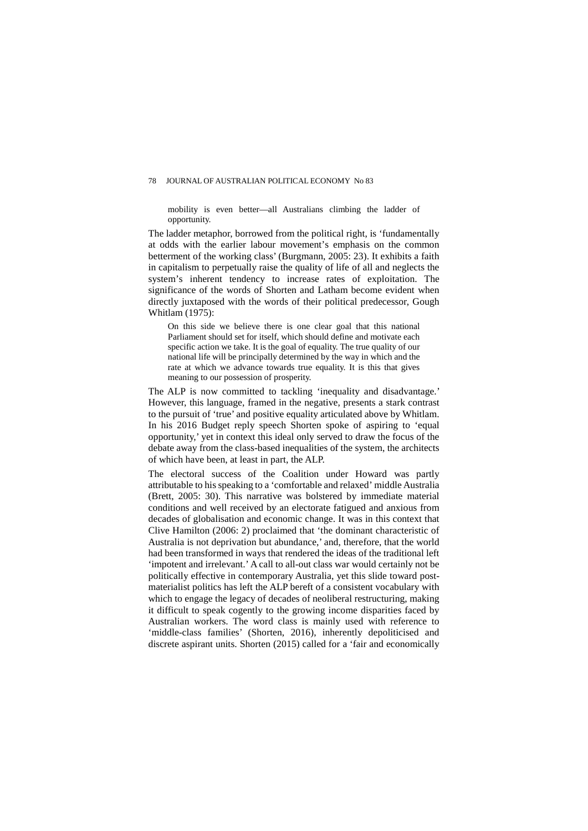mobility is even better—all Australians climbing the ladder of opportunity.

The ladder metaphor, borrowed from the political right, is 'fundamentally at odds with the earlier labour movement's emphasis on the common betterment of the working class' (Burgmann, 2005: 23). It exhibits a faith in capitalism to perpetually raise the quality of life of all and neglects the system's inherent tendency to increase rates of exploitation. The significance of the words of Shorten and Latham become evident when directly juxtaposed with the words of their political predecessor, Gough Whitlam (1975):

On this side we believe there is one clear goal that this national Parliament should set for itself, which should define and motivate each specific action we take. It is the goal of equality. The true quality of our national life will be principally determined by the way in which and the rate at which we advance towards true equality. It is this that gives meaning to our possession of prosperity.

The ALP is now committed to tackling 'inequality and disadvantage.' However, this language, framed in the negative, presents a stark contrast to the pursuit of 'true' and positive equality articulated above by Whitlam. In his 2016 Budget reply speech Shorten spoke of aspiring to 'equal opportunity,' yet in context this ideal only served to draw the focus of the debate away from the class-based inequalities of the system, the architects of which have been, at least in part, the ALP.

The electoral success of the Coalition under Howard was partly attributable to his speaking to a 'comfortable and relaxed' middle Australia (Brett, 2005: 30). This narrative was bolstered by immediate material conditions and well received by an electorate fatigued and anxious from decades of globalisation and economic change. It was in this context that Clive Hamilton (2006: 2) proclaimed that 'the dominant characteristic of Australia is not deprivation but abundance,' and, therefore, that the world had been transformed in ways that rendered the ideas of the traditional left 'impotent and irrelevant.' A call to all-out class war would certainly not be politically effective in contemporary Australia, yet this slide toward postmaterialist politics has left the ALP bereft of a consistent vocabulary with which to engage the legacy of decades of neoliberal restructuring, making it difficult to speak cogently to the growing income disparities faced by Australian workers. The word class is mainly used with reference to 'middle-class families' (Shorten, 2016), inherently depoliticised and discrete aspirant units. Shorten (2015) called for a 'fair and economically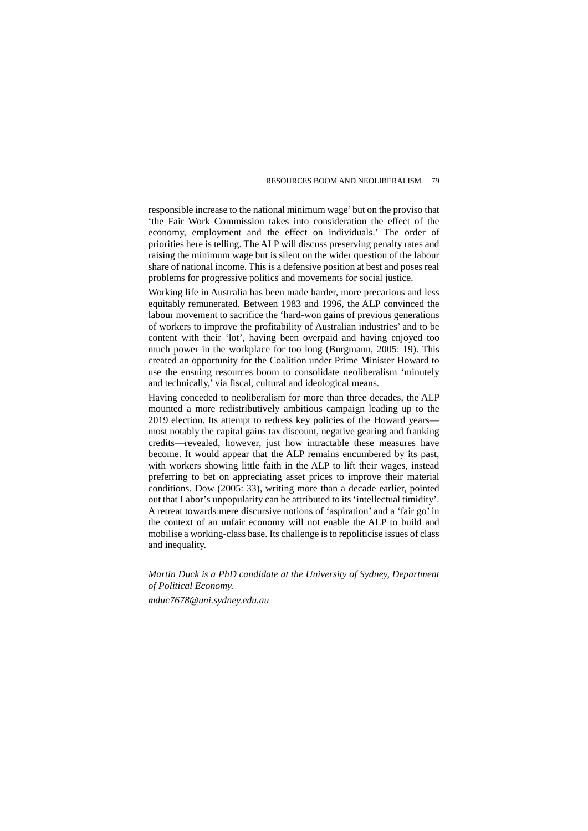responsible increase to the national minimum wage' but on the proviso that 'the Fair Work Commission takes into consideration the effect of the economy, employment and the effect on individuals.' The order of priorities here is telling. The ALP will discuss preserving penalty rates and raising the minimum wage but is silent on the wider question of the labour share of national income. This is a defensive position at best and poses real problems for progressive politics and movements for social justice.

Working life in Australia has been made harder, more precarious and less equitably remunerated. Between 1983 and 1996, the ALP convinced the labour movement to sacrifice the 'hard-won gains of previous generations of workers to improve the profitability of Australian industries' and to be content with their 'lot', having been overpaid and having enjoyed too much power in the workplace for too long (Burgmann, 2005: 19). This created an opportunity for the Coalition under Prime Minister Howard to use the ensuing resources boom to consolidate neoliberalism 'minutely and technically,' via fiscal, cultural and ideological means.

Having conceded to neoliberalism for more than three decades, the ALP mounted a more redistributively ambitious campaign leading up to the 2019 election. Its attempt to redress key policies of the Howard years most notably the capital gains tax discount, negative gearing and franking credits—revealed, however, just how intractable these measures have become. It would appear that the ALP remains encumbered by its past, with workers showing little faith in the ALP to lift their wages, instead preferring to bet on appreciating asset prices to improve their material conditions. Dow (2005: 33), writing more than a decade earlier, pointed out that Labor's unpopularity can be attributed to its 'intellectual timidity'. A retreat towards mere discursive notions of 'aspiration' and a 'fair go' in the context of an unfair economy will not enable the ALP to build and mobilise a working-class base. Its challenge is to repoliticise issues of class and inequality.

*Martin Duck is a PhD candidate at the University of Sydney, Department of Political Economy.* 

*mduc7678@uni.sydney.edu.au*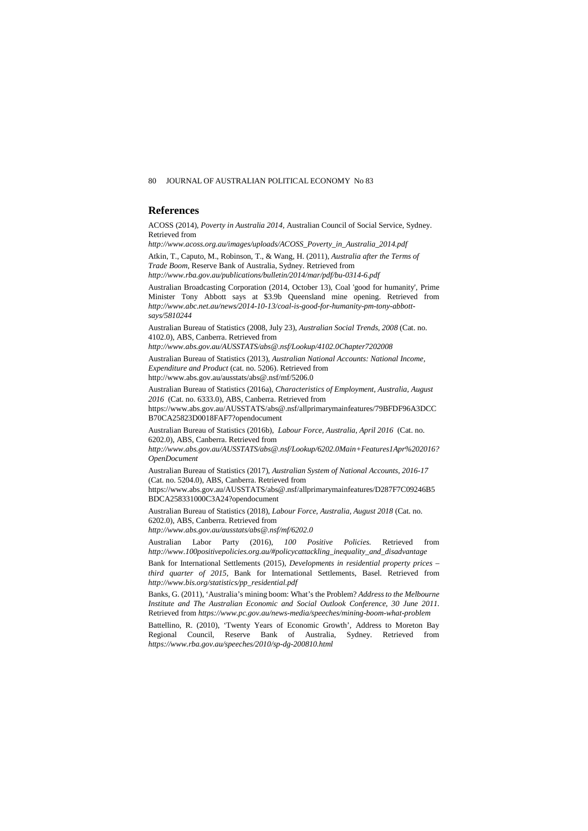## **References**

ACOSS (2014), *Poverty in Australia 2014,* Australian Council of Social Service, Sydney. Retrieved from

*http://www.acoss.org.au/images/uploads/ACOSS\_Poverty\_in\_Australia\_2014.pdf*

Atkin, T., Caputo, M., Robinson, T., & Wang, H. (2011), *Australia after the Terms of Trade Boom,* Reserve Bank of Australia, Sydney. Retrieved from

*http://www.rba.gov.au/publications/bulletin/2014/mar/pdf/bu-0314-6.pdf*

Australian Broadcasting Corporation (2014, October 13), Coal 'good for humanity', Prime Minister Tony Abbott says at \$3.9b Queensland mine opening. Retrieved from *http://www.abc.net.au/news/2014-10-13/coal-is-good-for-humanity-pm-tony-abbottsays/5810244*

Australian Bureau of Statistics (2008, July 23), *Australian Social Trends, 2008* (Cat. no. 4102.0), ABS, Canberra. Retrieved from

*http://www.abs.gov.au/AUSSTATS/abs@.nsf/Lookup/4102.0Chapter7202008*

Australian Bureau of Statistics (2013), *Australian National Accounts: National Income, Expenditure and Product* (cat. no. 5206). Retrieved from

http://www.abs.gov.au/ausstats/abs@.nsf/mf/5206.0

Australian Bureau of Statistics (2016a), *Characteristics of Employment, Australia, August 2016* (Cat. no. 6333.0), ABS, Canberra. Retrieved from

https://www.abs.gov.au/AUSSTATS/abs@.nsf/allprimarymainfeatures/79BFDF96A3DCC B70CA25823D0018FAF7?opendocument

Australian Bureau of Statistics (2016b), *Labour Force, Australia, April 2016* (Cat. no. 6202.0), ABS, Canberra. Retrieved from

*http://www.abs.gov.au/AUSSTATS/abs@.nsf/Lookup/6202.0Main+Features1Apr%202016? OpenDocument*

Australian Bureau of Statistics (2017), *Australian System of National Accounts, 2016-17* (Cat. no. 5204.0), ABS, Canberra. Retrieved from

https://www.abs.gov.au/AUSSTATS/abs@.nsf/allprimarymainfeatures/D287F7C09246B5 BDCA258331000C3A24?opendocument

Australian Bureau of Statistics (2018), *Labour Force, Australia, August 2018* (Cat. no. 6202.0)*,* ABS, Canberra. Retrieved from

*http://www.abs.gov.au/ausstats/abs@.nsf/mf/6202.0*

Australian Labor Party (2016), *100 Positive Policies.* Retrieved from *http://www.100positivepolicies.org.au/#policycattackling\_inequality\_and\_disadvantage*

Bank for International Settlements (2015), *Developments in residential property prices – third quarter of 2015,* Bank for International Settlements, Basel. Retrieved from *http://www.bis.org/statistics/pp\_residential.pdf*

Banks, G. (2011), 'Australia's mining boom: What's the Problem? *Address to the Melbourne Institute and The Australian Economic and Social Outlook Conference, 30 June 2011.*  Retrieved from *https://www.pc.gov.au/news-media/speeches/mining-boom-what-problem*

Battellino, R. (2010), 'Twenty Years of Economic Growth', Address to Moreton Bay Regional Council, Reserve Bank of Australia, Sydney. Retrieved from *https://www.rba.gov.au/speeches/2010/sp-dg-200810.html*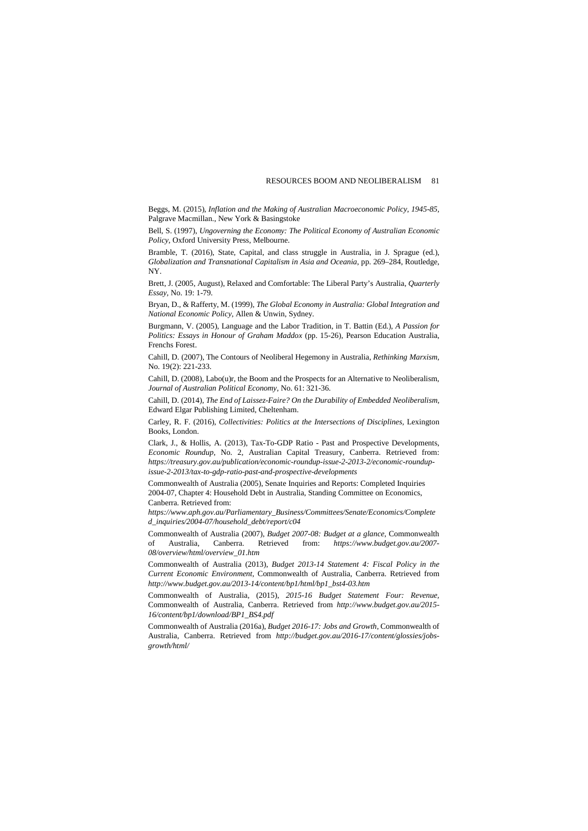Beggs, M. (2015), *Inflation and the Making of Australian Macroeconomic Policy, 1945-85,*  Palgrave Macmillan., New York & Basingstoke

Bell, S. (1997), *Ungoverning the Economy: The Political Economy of Australian Economic Policy*, Oxford University Press, Melbourne.

Bramble, T. (2016), State, Capital, and class struggle in Australia, in J. Sprague (ed.), *Globalization and Transnational Capitalism in Asia and Oceania*, pp. 269–284, Routledge, NY.

Brett, J. (2005, August), Relaxed and Comfortable: The Liberal Party's Australia, *Quarterly Essay,* No. 19: 1-79.

Bryan, D., & Rafferty, M. (1999), *The Global Economy in Australia: Global Integration and National Economic Policy*, Allen & Unwin, Sydney.

Burgmann, V. (2005), Language and the Labor Tradition, in T. Battin (Ed.), *A Passion for Politics: Essays in Honour of Graham Maddox* (pp. 15-26), Pearson Education Australia, Frenchs Forest.

Cahill, D. (2007), The Contours of Neoliberal Hegemony in Australia, *Rethinking Marxism,*  No. 19(2): 221-233.

Cahill, D. (2008), Labo(u)r, the Boom and the Prospects for an Alternative to Neoliberalism, *Journal of Australian Political Economy,* No. 61: 321-36.

Cahill, D. (2014), *The End of Laissez-Faire? On the Durability of Embedded Neoliberalism,* Edward Elgar Publishing Limited, Cheltenham.

Carley, R. F. (2016), *Collectivities: Politics at the Intersections of Disciplines,* Lexington Books, London.

Clark, J., & Hollis, A. (2013), Tax-To-GDP Ratio - Past and Prospective Developments, *Economic Roundup*, No. 2, Australian Capital Treasury, Canberra. Retrieved from: *https://treasury.gov.au/publication/economic-roundup-issue-2-2013-2/economic-roundupissue-2-2013/tax-to-gdp-ratio-past-and-prospective-developments*

Commonwealth of Australia (2005), Senate Inquiries and Reports: Completed Inquiries 2004-07, Chapter 4: Household Debt in Australia, Standing Committee on Economics, Canberra*.* Retrieved from:

*https://www.aph.gov.au/Parliamentary\_Business/Committees/Senate/Economics/Complete d\_inquiries/2004-07/household\_debt/report/c04*

Commonwealth of Australia (2007), *Budget 2007-08: Budget at a glance,* Commonwealth of Australia, Canberra. Retrieved from: *https://www.budget.gov.au/2007- 08/overview/html/overview\_01.htm*

Commonwealth of Australia (2013), *Budget 2013-14 Statement 4: Fiscal Policy in the Current Economic Environment,* Commonwealth of Australia, Canberra. Retrieved from *http://www.budget.gov.au/2013-14/content/bp1/html/bp1\_bst4-03.htm*

Commonwealth of Australia, (2015), *2015-16 Budget Statement Four: Revenue,*  Commonwealth of Australia, Canberra. Retrieved from *http://www.budget.gov.au/2015- 16/content/bp1/download/BP1\_BS4.pdf*

Commonwealth of Australia (2016a), *Budget 2016-17: Jobs and Growth*, Commonwealth of Australia, Canberra. Retrieved from *http://budget.gov.au/2016-17/content/glossies/jobsgrowth/html/*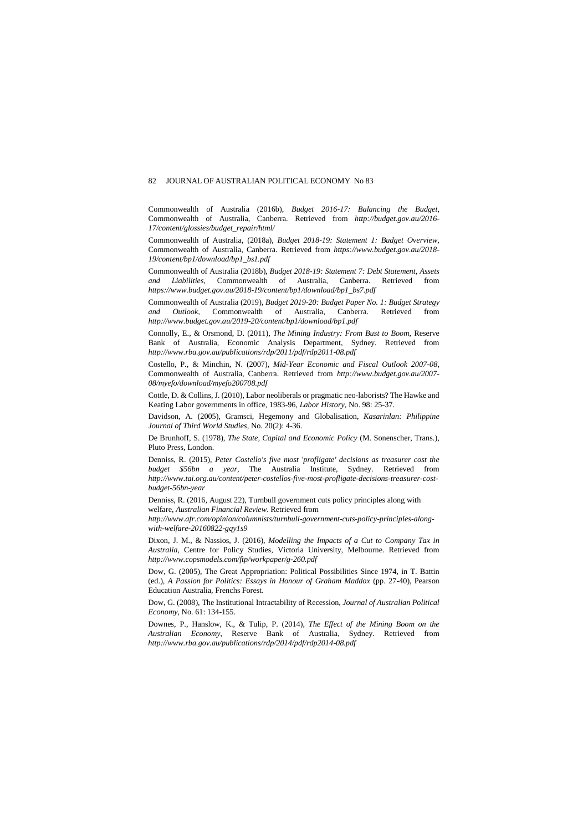Commonwealth of Australia (2016b), *Budget 2016-17: Balancing the Budget*, Commonwealth of Australia, Canberra. Retrieved from *http://budget.gov.au/2016- 17/content/glossies/budget\_repair/html/*

Commonwealth of Australia, (2018a), *Budget 2018-19: Statement 1: Budget Overview,*  Commonwealth of Australia, Canberra. Retrieved from *https://www.budget.gov.au/2018- 19/content/bp1/download/bp1\_bs1.pdf*

Commonwealth of Australia (2018b), *Budget 2018-19: Statement 7: Debt Statement, Assets and Liabilities,* Commonwealth of Australia, Canberra. Retrieved from *https://www.budget.gov.au/2018-19/content/bp1/download/bp1\_bs7.pdf*

Commonwealth of Australia (2019), *Budget 2019-20: Budget Paper No. 1: Budget Strategy and Outlook,* Commonwealth of Australia, Canberra. Retrieved from *http://www.budget.gov.au/2019-20/content/bp1/download/bp1.pdf*

Connolly, E., & Orsmond, D. (2011), *The Mining Industry: From Bust to Boom,* Reserve Bank of Australia, Economic Analysis Department, Sydney. Retrieved from *http://www.rba.gov.au/publications/rdp/2011/pdf/rdp2011-08.pdf*

Costello, P., & Minchin, N. (2007), *Mid-Year Economic and Fiscal Outlook 2007-08,* Commonwealth of Australia, Canberra. Retrieved from *http://www.budget.gov.au/2007- 08/myefo/download/myefo200708.pdf*

Cottle, D. & Collins, J. (2010), Labor neoliberals or pragmatic neo-laborists? The Hawke and Keating Labor governments in office, 1983-96, *Labor History,* No. 98: 25-37.

Davidson, A. (2005), Gramsci, Hegemony and Globalisation, *Kasarinlan: Philippine Journal of Third World Studies,* No. 20(2): 4-36.

De Brunhoff, S. (1978), *The State, Capital and Economic Policy* (M. Sonenscher, Trans.), Pluto Press, London.

Denniss, R. (2015), *Peter Costello's five most 'profligate' decisions as treasurer cost the budget \$56bn a year,* The Australia Institute, Sydney. Retrieved from *http://www.tai.org.au/content/peter-costellos-five-most-profligate-decisions-treasurer-costbudget-56bn-year*

Denniss, R. (2016, August 22), Turnbull government cuts policy principles along with welfare, *Australian Financial Review*. Retrieved from

*http://www.afr.com/opinion/columnists/turnbull-government-cuts-policy-principles-alongwith-welfare-20160822-gqy1s9*

Dixon, J. M., & Nassios, J. (2016), *Modelling the Impacts of a Cut to Company Tax in Australia,* Centre for Policy Studies, Victoria University, Melbourne. Retrieved from *http://www.copsmodels.com/ftp/workpaper/g-260.pdf*

Dow, G. (2005), The Great Appropriation: Political Possibilities Since 1974, in T. Battin (ed.), *A Passion for Politics: Essays in Honour of Graham Maddox* (pp. 27-40), Pearson Education Australia, Frenchs Forest.

Dow, G. (2008), The Institutional Intractability of Recession, *Journal of Australian Political Economy,* No. 61: 134-155.

Downes, P., Hanslow, K., & Tulip, P. (2014), *The Effect of the Mining Boom on the Australian Economy*, Reserve Bank of Australia, Sydney. Retrieved from *http://www.rba.gov.au/publications/rdp/2014/pdf/rdp2014-08.pdf*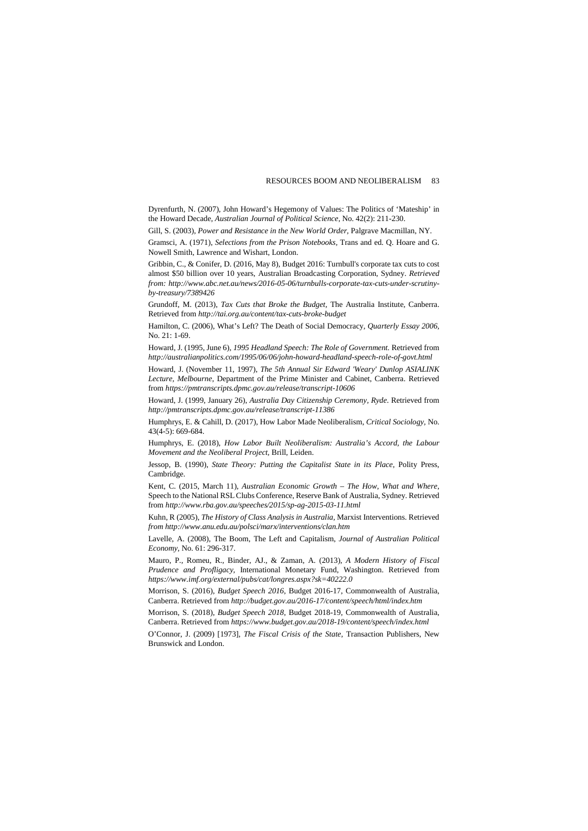Dyrenfurth, N. (2007), John Howard's Hegemony of Values: The Politics of 'Mateship' in the Howard Decade, *Australian Journal of Political Science,* No. 42(2): 211-230.

Gill, S. (2003), *Power and Resistance in the New World Order,* Palgrave Macmillan, NY.

Gramsci, A. (1971), *Selections from the Prison Notebooks,* Trans and ed. Q. Hoare and G. Nowell Smith, Lawrence and Wishart, London.

Gribbin, C., & Conifer, D. (2016, May 8), Budget 2016: Turnbull's corporate tax cuts to cost almost \$50 billion over 10 years, Australian Broadcasting Corporation, Sydney. *Retrieved from: http://www.abc.net.au/news/2016-05-06/turnbulls-corporate-tax-cuts-under-scrutinyby-treasury/7389426*

Grundoff, M. (2013), *Tax Cuts that Broke the Budget,* The Australia Institute, Canberra. Retrieved from *http://tai.org.au/content/tax-cuts-broke-budget*

Hamilton, C. (2006), What's Left? The Death of Social Democracy*, Quarterly Essay 2006,*  No. 21: 1-69.

Howard, J. (1995, June 6), *1995 Headland Speech: The Role of Government.* Retrieved from *http://australianpolitics.com/1995/06/06/john-howard-headland-speech-role-of-govt.html*

Howard, J. (November 11, 1997), *The 5th Annual Sir Edward 'Weary' Dunlop ASIALINK Lecture, Melbourne*, Department of the Prime Minister and Cabinet, Canberra. Retrieved from *https://pmtranscripts.dpmc.gov.au/release/transcript-10606*

Howard, J. (1999, January 26), *Australia Day Citizenship Ceremony, Ryde*. Retrieved from *http://pmtranscripts.dpmc.gov.au/release/transcript-11386*

Humphrys, E. & Cahill, D. (2017), How Labor Made Neoliberalism, *Critical Sociology,* No. 43(4-5): 669-684.

Humphrys, E. (2018), *How Labor Built Neoliberalism: Australia's Accord, the Labour Movement and the Neoliberal Project,* Brill, Leiden.

Jessop, B. (1990), *State Theory: Putting the Capitalist State in its Place*, Polity Press, Cambridge.

Kent, C. (2015, March 11), *Australian Economic Growth – The How, What and Where*, Speech to the National RSL Clubs Conference, Reserve Bank of Australia, Sydney. Retrieved from *http://www.rba.gov.au/speeches/2015/sp-ag-2015-03-11.html*

Kuhn, R (2005), *The History of Class Analysis in Australia,* Marxist Interventions. Retrieved *from http://www.anu.edu.au/polsci/marx/interventions/clan.htm*

Lavelle, A. (2008), The Boom, The Left and Capitalism, *Journal of Australian Political Economy,* No. 61: 296-317.

Mauro, P., Romeu, R., Binder, AJ., & Zaman, A. (2013), *A Modern History of Fiscal Prudence and Profligacy,* International Monetary Fund, Washington. Retrieved from *https://www.imf.org/external/pubs/cat/longres.aspx?sk=40222.0*

Morrison, S. (2016), *Budget Speech 2016,* Budget 2016-17, Commonwealth of Australia, Canberra. Retrieved from *http://budget.gov.au/2016-17/content/speech/html/index.htm*

Morrison, S. (2018), *Budget Speech 2018,* Budget 2018-19, Commonwealth of Australia, Canberra. Retrieved from *https://www.budget.gov.au/2018-19/content/speech/index.html*

O'Connor, J. (2009) [1973], *The Fiscal Crisis of the State,* Transaction Publishers, New Brunswick and London.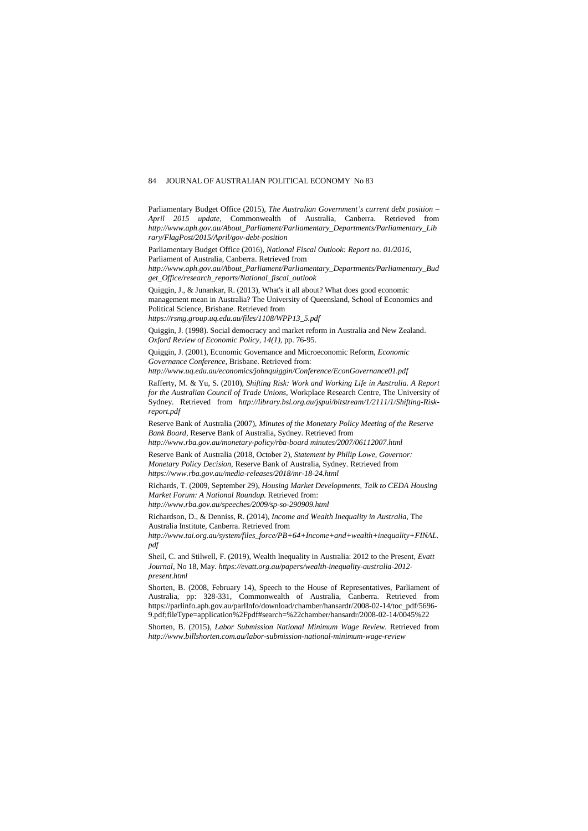Parliamentary Budget Office (2015), *The Australian Government's current debt position – April 2015 update,* Commonwealth of Australia, Canberra. Retrieved from *http://www.aph.gov.au/About\_Parliament/Parliamentary\_Departments/Parliamentary\_Lib rary/FlagPost/2015/April/gov-debt-position*

Parliamentary Budget Office (2016), *National Fiscal Outlook: Report no. 01/2016*, Parliament of Australia, Canberra. Retrieved from

*http://www.aph.gov.au/About\_Parliament/Parliamentary\_Departments/Parliamentary\_Bud get\_Office/research\_reports/National\_fiscal\_outlook*

Quiggin, J., & Junankar, R. (2013), What's it all about? What does good economic management mean in Australia? The University of Queensland, School of Economics and Political Science, Brisbane. Retrieved from

*https://rsmg.group.uq.edu.au/files/1108/WPP13\_5.pdf*

Quiggin, J. (1998). Social democracy and market reform in Australia and New Zealand. *Oxford Review of Economic Policy, 14(1),* pp. 76-95.

Quiggin, J. (2001), Economic Governance and Microeconomic Reform, *Economic Governance Conference,* Brisbane. Retrieved from:

*http://www.uq.edu.au/economics/johnquiggin/Conference/EconGovernance01.pdf*

Rafferty, M. & Yu, S. (2010), *Shifting Risk: Work and Working Life in Australia. A Report for the Australian Council of Trade Unions,* Workplace Research Centre, The University of Sydney. Retrieved from *http://library.bsl.org.au/jspui/bitstream/1/2111/1/Shifting-Riskreport.pdf*

Reserve Bank of Australia (2007), *Minutes of the Monetary Policy Meeting of the Reserve Bank Board,* Reserve Bank of Australia, Sydney. Retrieved from

*http://www.rba.gov.au/monetary-policy/rba-board minutes/2007/06112007.html* Reserve Bank of Australia (2018, October 2), *Statement by Philip Lowe, Governor:* 

*Monetary Policy Decision*, Reserve Bank of Australia, Sydney. Retrieved from *https://www.rba.gov.au/media-releases/2018/mr-18-24.html*

Richards, T. (2009, September 29), *Housing Market Developments, Talk to CEDA Housing Market Forum: A National Roundup.* Retrieved from: *http://www.rba.gov.au/speeches/2009/sp-so-290909.html*

Richardson, D., & Denniss, R. (2014), *Income and Wealth Inequality in Australia,* The Australia Institute, Canberra. Retrieved from

*http://www.tai.org.au/system/files\_force/PB+64+Income+and+wealth+inequality+FINAL. pdf*

Sheil, C. and Stilwell, F. (2019), Wealth Inequality in Australia: 2012 to the Present, *Evatt Journal*, No 18, May. *[https://evatt.org.au/papers/wealth-inequality-australia-2012](https://evatt.org.au/papers/wealth-inequality-australia-2012-present.html) [present.html](https://evatt.org.au/papers/wealth-inequality-australia-2012-present.html)*

Shorten, B. (2008, February 14), Speech to the House of Representatives, Parliament of Australia, pp: 328-331, Commonwealth of Australia, Canberra. Retrieved from https://parlinfo.aph.gov.au/parlInfo/download/chamber/hansardr/2008-02-14/toc\_pdf/5696- 9.pdf;fileType=application%2Fpdf#search=%22chamber/hansardr/2008-02-14/0045%22

Shorten, B. (2015), *Labor Submission National Minimum Wage Review.* Retrieved from *http://www.billshorten.com.au/labor-submission-national-minimum-wage-review*